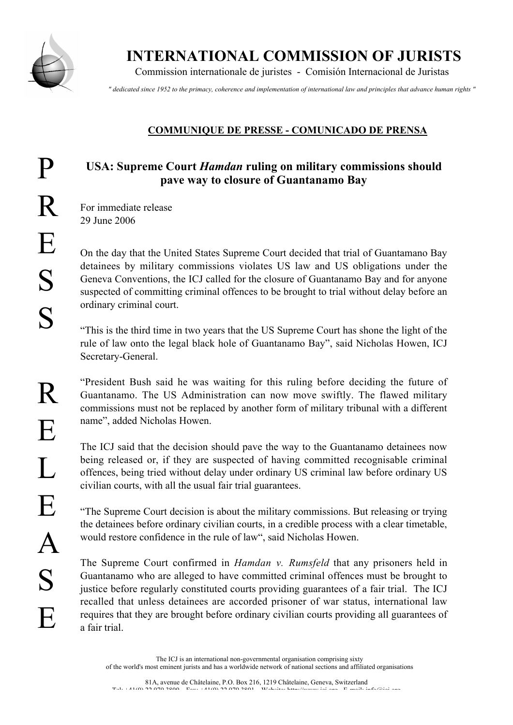

INTERNATIONAL COMMISSION OF JURISTS

Commission internationale de juristes - Comisión Internacional de Juristas

*" dedicated since 1952 to the primacy, coherence and implementation of international law and principles that advance human rights "*

## COMMUNIQUE DE PRESSE - COMUNICADO DE PRENSA

## USA: Supreme Court *Hamdan* ruling on military commissions should pave way to closure of Guantanamo Bay

For immediate release 29 June 2006

On the day that the United States Supreme Court decided that trial of Guantamano Bay detainees by military commissions violates US law and US obligations under the Geneva Conventions, the ICJ called for the closure of Guantanamo Bay and for anyone suspected of committing criminal offences to be brought to trial without delay before an ordinary criminal court.

"This is the third time in two years that the US Supreme Court has shone the light of the rule of law onto the legal black hole of Guantanamo Bay", said Nicholas Howen, ICJ Secretary-General.

"President Bush said he was waiting for this ruling before deciding the future of Guantanamo. The US Administration can now move swiftly. The flawed military commissions must not be replaced by another form of military tribunal with a different name", added Nicholas Howen.

The ICJ said that the decision should pave the way to the Guantanamo detainees now being released or, if they are suspected of having committed recognisable criminal offences, being tried without delay under ordinary US criminal law before ordinary US civilian courts, with all the usual fair trial guarantees.

"The Supreme Court decision is about the military commissions. But releasing or trying the detainees before ordinary civilian courts, in a credible process with a clear timetable, would restore confidence in the rule of law", said Nicholas Howen.

The Supreme Court confirmed in *Hamdan v. Rumsfeld* that any prisoners held in Guantanamo who are alleged to have committed criminal offences must be brought to justice before regularly constituted courts providing guarantees of a fair trial. The ICJ recalled that unless detainees are accorded prisoner of war status, international law requires that they are brought before ordinary civilian courts providing all guarantees of a fair trial.

R

E

 $\mathbf{I}$ 

E

A

S

E